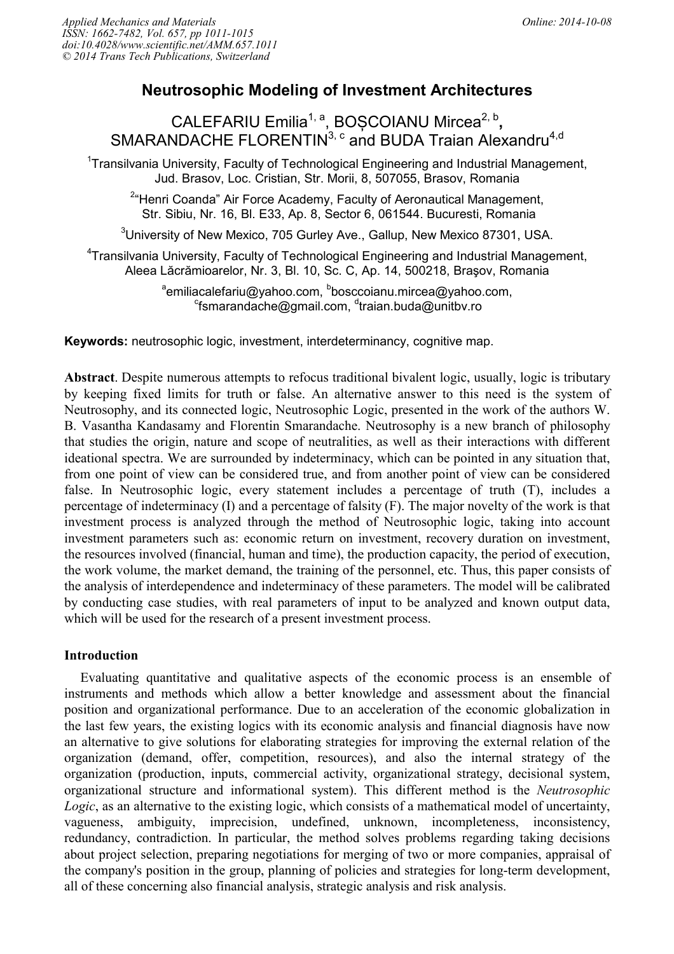# **Neutrosophic Modeling of Investment Architectures**

CALEFARIU Emilia<sup>1, a</sup>, BOȘCOIANU Mircea<sup>2, b</sup>, SMARANDACHE FLORENTIN<sup>3, c</sup> and BUDA Traian Alexandru<sup>4,d</sup>

<sup>1</sup>Transilvania University, Faculty of Technological Engineering and Industrial Management, Jud. Brasov, Loc. Cristian, Str. Morii, 8, 507055, Brasov, Romania

<sup>2</sup>"Henri Coanda" Air Force Academy, Faculty of Aeronautical Management, Str. Sibiu, Nr. 16, Bl. E33, Ap. 8, Sector 6, 061544. Bucuresti, Romania

 $3$ University of New Mexico, 705 Gurley Ave., Gallup, New Mexico 87301, USA.

<sup>4</sup>Transilvania University, Faculty of Technological Engineering and Industrial Management, Aleea Lăcrămioarelor, Nr. 3, Bl. 10, Sc. C, Ap. 14, 500218, Braşov, Romania

> <sup>a</sup>emiliacalefariu@yahoo.com, <sup>b</sup>bosccoianu.mircea@yahoo.com, <sup>c</sup>fsmarandache@gmail.com, <sup>d</sup>traian.buda@unitbv.ro

**Keywords:** neutrosophic logic, investment, interdeterminancy, cognitive map.

**Abstract** . Despite numerous attempts to refocus traditional bivalent logic, usually, logic is tributary by keeping fixed limits for truth or false. An alternative answer to this need is the system of Neutrosophy, and its connected logic, Neutrosophic Logic, presented in the work of the authors W. B. Vasantha Kandasamy and Florentin Smarandache. Neutrosophy is a new branch of philosophy that studies the origin, nature and scope of neutralities, as well as their interactions with different ideational spectra. We are surrounded by indeterminacy, which can be pointed in any situation that, from one point of view can be considered true, and from another point of view can be considered false. In Neutrosophic logic, every statement includes a percentage of truth (T), includes a percentage of indeterminacy (I) and a percentage of falsity (F). The major novelty of the work is that investment process is analyzed through the method of Neutrosophic logic, taking into account investment parameters such as: economic return on investment, recovery duration on investment, the resources involved (financial, human and time), the production capacity, the period of execution, the work volume, the market demand, the training of the personnel, etc. Thus, this paper consists of the analysis of interdependence and indeterminacy of these parameters. The model will be calibrated by conducting case studies, with real parameters of input to be analyzed and known output data, which will be used for the research of a present investment process.

## **Introduction**

Evaluating quantitative and qualitative aspects of the economic process is an ensemble of instruments and methods which allow a better knowledge and assessment about the financial position and organizational performance. Due to an acceleration of the economic globalization in the last few years, the existing logics with its economic analysis and financial diagnosis have now an alternative to give solutions for elaborating strategies for improving the external relation of the organization (demand, offer, competition, resources), and also the internal strategy of the organization (production, inputs, commercial activity, organizational strategy, decisional system, organizational structure and informational system). This different method is the *Neutrosophic Logic*, as an alternative to the existing logic, which consists of a mathematical model of uncertainty, vagueness, ambiguity, imprecision, undefined, unknown, incompleteness, inconsistency, redundancy, contradiction. In particular, the method solves problems regarding taking decisions about project selection, preparing negotiations for merging of two or more companies, appraisal of the company's position in the group, planning of policies and strategies for long-term development, all of these concerning also financial analysis, strategic analysis and risk analysis.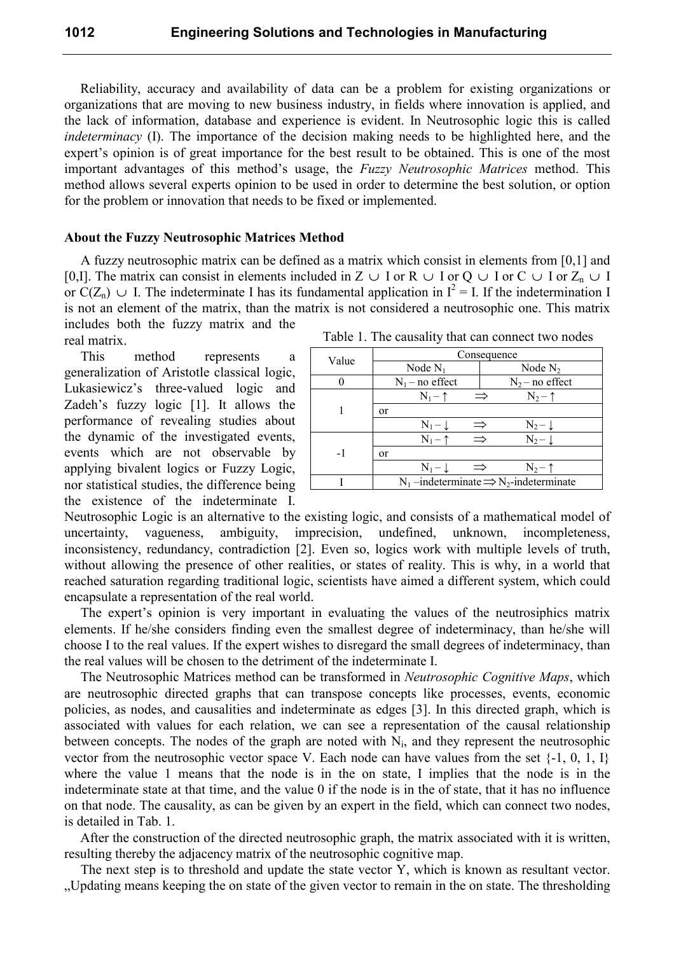Reliability, accuracy and availability of data can be a problem for existing organizations or organizations that are moving to new business industry, in fields where innovation is applied, and the lack of information, database and experience is evident. In Neutrosophic logic this is called *indeterminacy* (I). The importance of the decision making needs to be highlighted here, and the expert's opinion is of great importance for the best result to be obtained. This is one of the most important advantages of this method's usage, the *Fuzzy Neutrosophic Matrices* method. This method allows several experts opinion to be used in order to determine the best solution, or option for the problem or innovation that needs to be fixed or implemented.

#### **About the Fuzzy Neutrosophic Matrices Method**

A fuzzy neutrosophic matrix can be defined as a matrix which consist in elements from [0,1] and [0,I]. The matrix can consist in elements included in Z  $\cup$  I or R  $\cup$  I or Q  $\cup$  I or C  $\cup$  I or Z<sub>n</sub>  $\cup$  I or  $C(Z_n) \cup I$ . The indeterminate I has its fundamental application in  $I^2 = I$ . If the indetermination I is not an element of the matrix, than the matrix is not considered a neutrosophic one. This matrix includes both the fuzzy matrix and the

real matrix.

This method represents a generalization of Aristotle classical logic, Lukasiewicz's three-valued logic and Zadeh's fuzzy logic [1]. It allows the performance of revealing studies about the dynamic of the investigated events, events which are not observable by applying bivalent logics or Fuzzy Logic, nor statistical studies, the difference being the existence of the indeterminate I.

Table 1. The causality that can connect two nodes

| Value | Consequence        |               |                                                                  |
|-------|--------------------|---------------|------------------------------------------------------------------|
|       | Node $N_1$         |               | Node $N2$                                                        |
|       | $N_1$ – no effect  |               | $N_2$ – no effect                                                |
|       | $N_1 - \uparrow$   | $\Rightarrow$ | $N_2$ – $\uparrow$                                               |
|       | <sub>or</sub>      |               |                                                                  |
|       | $N_1 - \downarrow$ | ⇒             | $N_2 - 1$                                                        |
| $-1$  | $N_1 - \uparrow$   | $\Rightarrow$ | $N_2 - 1$                                                        |
|       | <sub>or</sub>      |               |                                                                  |
|       | $N_1 - L$          | $\Rightarrow$ | $N_2$ – 1                                                        |
|       |                    |               | $N_1$ -indeterminate $\Rightarrow$ N <sub>2</sub> -indeterminate |

Neutrosophic Logic is an alternative to the existing logic, and consists of a mathematical model of uncertainty, vagueness, ambiguity, imprecision, undefined, unknown, incompleteness, inconsistency, redundancy, contradiction [2]. Even so, logics work with multiple levels of truth, without allowing the presence of other realities, or states of reality. This is why, in a world that reached saturation regarding traditional logic, scientists have aimed a different system, which could encapsulate a representation of the real world.

The expert's opinion is very important in evaluating the values of the neutrosiphics matrix elements. If he/she considers finding even the smallest degree of indeterminacy, than he/she will choose I to the real values. If the expert wishes to disregard the small degrees of indeterminacy, than the real values will be chosen to the detriment of the indeterminate I.

The Neutrosophic Matrices method can be transformed in *Neutrosophic Cognitive Maps*, which are neutrosophic directed graphs that can transpose concepts like processes, events, economic policies, as nodes, and causalities and indeterminate as edges [3]. In this directed graph, which is associated with values for each relation, we can see a representation of the causal relationship between concepts. The nodes of the graph are noted with  $N_i$ , and they represent the neutrosophic vector from the neutrosophic vector space V. Each node can have values from the set  $\{-1, 0, 1, 1\}$ where the value 1 means that the node is in the on state, I implies that the node is in the indeterminate state at that time, and the value 0 if the node is in the of state, that it has no influence on that node. The causality, as can be given by an expert in the field, which can connect two nodes, is detailed in Tab. 1.

After the construction of the directed neutrosophic graph, the matrix associated with it is written, resulting thereby the adjacency matrix of the neutrosophic cognitive map.

The next step is to threshold and update the state vector Y, which is known as resultant vector. "Updating means keeping the on state of the given vector to remain in the on state. The thresholding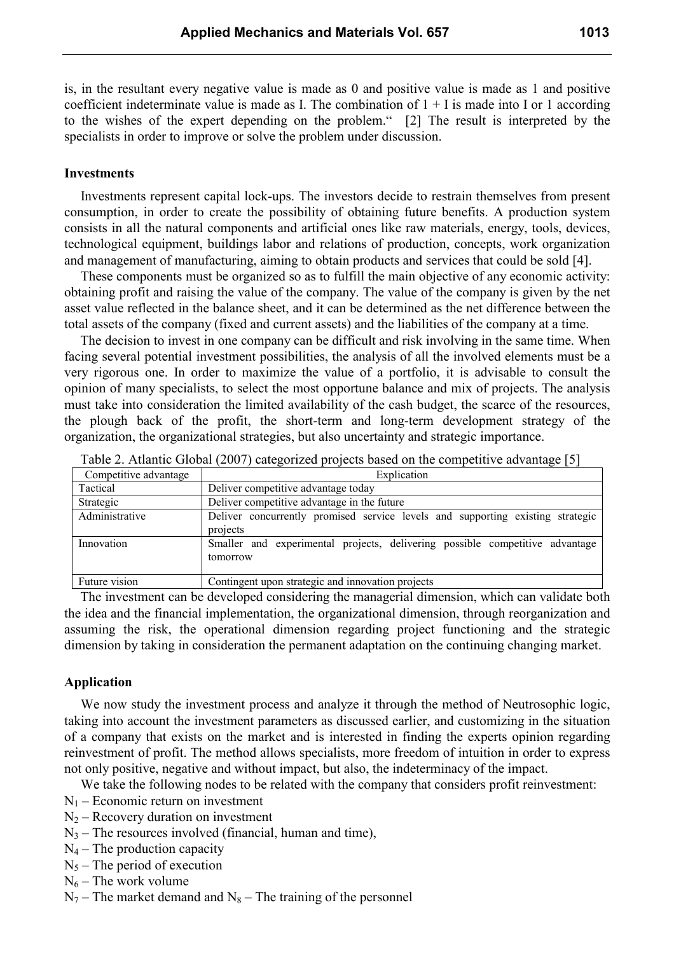is, in the resultant every negative value is made as 0 and positive value is made as 1 and positive coefficient indeterminate value is made as I. The combination of  $1 + I$  is made into I or 1 according to the wishes of the expert depending on the problem." [2] The result is interpreted by the specialists in order to improve or solve the problem under discussion.

### **Investments**

Investments represent capital lock-ups. The investors decide to restrain themselves from present consumption, in order to create the possibility of obtaining future benefits. A production system consists in all the natural components and artificial ones like raw materials, energy, tools, devices, technological equipment, buildings labor and relations of production, concepts, work organization and management of manufacturing, aiming to obtain products and services that could be sold [4].

These components must be organized so as to fulfill the main objective of any economic activity: obtaining profit and raising the value of the company. The value of the company is given by the net asset value reflected in the balance sheet, and it can be determined as the net difference between the total assets of the company (fixed and current assets) and the liabilities of the company at a time.

The decision to invest in one company can be difficult and risk involving in the same time. When facing several potential investment possibilities, the analysis of all the involved elements must be a very rigorous one. In order to maximize the value of a portfolio, it is advisable to consult the opinion of many specialists, to select the most opportune balance and mix of projects. The analysis must take into consideration the limited availability of the cash budget, the scarce of the resources, the plough back of the profit, the short-term and long-term development strategy of the organization, the organizational strategies, but also uncertainty and strategic importance.

| Competitive advantage | Explication                                                                                |
|-----------------------|--------------------------------------------------------------------------------------------|
| Tactical              | Deliver competitive advantage today                                                        |
| Strategic             | Deliver competitive advantage in the future                                                |
| Administrative        | Deliver concurrently promised service levels and supporting existing strategic<br>projects |
| Innovation            | Smaller and experimental projects, delivering possible competitive advantage<br>tomorrow   |
| Future vision         | Contingent upon strategic and innovation projects                                          |

Table 2. Atlantic Global (2007) categorized projects based on the competitive advantage [5]

The investment can be developed considering the managerial dimension, which can validate both the idea and the financial implementation, the organizational dimension, through reorganization and assuming the risk, the operational dimension regarding project functioning and the strategic dimension by taking in consideration the permanent adaptation on the continuing changing market.

#### **Application**

We now study the investment process and analyze it through the method of Neutrosophic logic, taking into account the investment parameters as discussed earlier, and customizing in the situation of a company that exists on the market and is interested in finding the experts opinion regarding reinvestment of profit. The method allows specialists, more freedom of intuition in order to express not only positive, negative and without impact, but also, the indeterminacy of the impact.

We take the following nodes to be related with the company that considers profit reinvestment:

- $N_1$  Economic return on investment
- $N_2$  Recovery duration on investment
- $N_3$  The resources involved (financial, human and time),
- $N_4$  The production capacity
- $N_5$  The period of execution
- $N_6$  The work volume
- $N_7$  The market demand and  $N_8$  The training of the personnel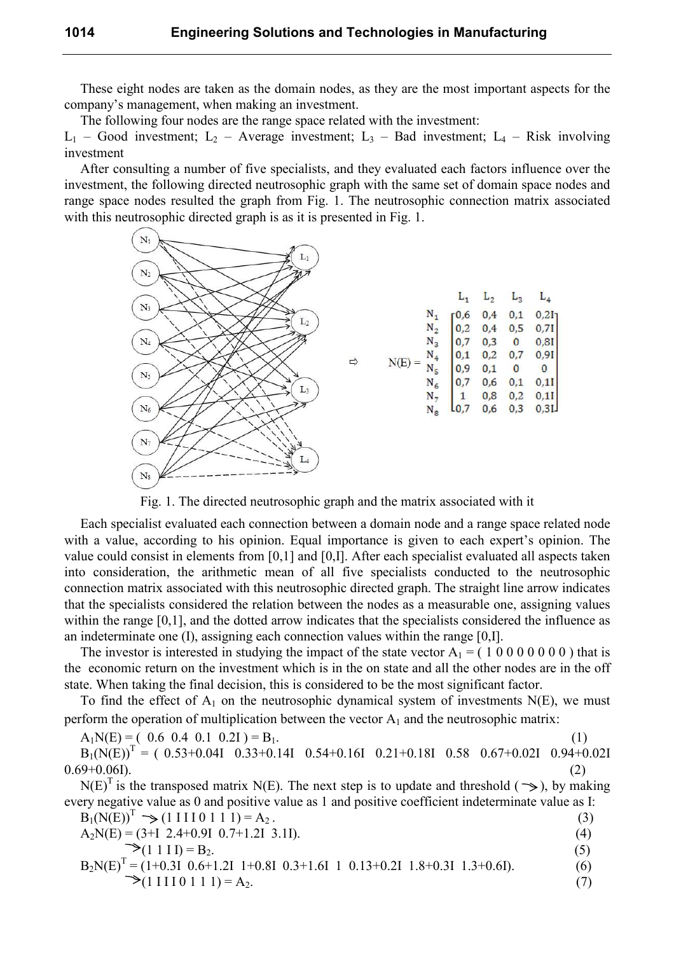These eight nodes are taken as the domain nodes, as they are the most important aspects for the company's management, when making an investment.

The following four nodes are the range space related with the investment:

 $L_1$  – Good investment;  $L_2$  – Average investment;  $L_3$  – Bad investment;  $L_4$  – Risk involving investment

After consulting a number of five specialists, and they evaluated each factors influence over the investment, the following directed neutrosophic graph with the same set of domain space nodes and range space nodes resulted the graph from Fig. 1. The neutrosophic connection matrix associated with this neutrosophic directed graph is as it is presented in Fig. 1.



Fig. 1. The directed neutrosophic graph and the matrix associated with it

Each specialist evaluated each connection between a domain node and a range space related node with a value, according to his opinion. Equal importance is given to each expert's opinion. The value could consist in elements from [0,1] and [0,I]. After each specialist evaluated all aspects taken into consideration, the arithmetic mean of all five specialists conducted to the neutrosophic connection matrix associated with this neutrosophic directed graph. The straight line arrow indicates that the specialists considered the relation between the nodes as a measurable one, assigning values within the range [0,1], and the dotted arrow indicates that the specialists considered the influence as an indeterminate one (I), assigning each connection values within the range [0,I].

The investor is interested in studying the impact of the state vector  $A_1 = (1 0 0 0 0 0 0 0)$  that is the economic return on the investment which is in the on state and all the other nodes are in the off state. When taking the final decision, this is considered to be the most significant factor.

To find the effect of  $A_1$  on the neutrosophic dynamical system of investments N(E), we must perform the operation of multiplication between the vector  $A_1$  and the neutrosophic matrix:

$$
A_1N(E) = (0.6 \t0.4 \t0.1 \t0.21) = B_1. \t(1)
$$

 $B_1(N(E))^T = (0.53+0.04I \t 0.33+0.14I \t 0.54+0.16I \t 0.21+0.18I \t 0.58 \t 0.67+0.02I \t 0.94+0.02I$  $0.69+0.061$ . (2)

 $N(E)^T$  is the transposed matrix N(E). The next step is to update and threshold ( $\gg$ ), by making every negative value as 0 and positive value as 1 and positive coefficient indeterminate value as I:

| $B_1(N(E))^T \implies (1 \text{ II } 1 \text{ I } 1 \text{ I}) = A_2$ .                      |     |
|----------------------------------------------------------------------------------------------|-----|
| $A_2N(E) = (3+I 2.4+0.9I 0.7+1.2I 3.1I).$                                                    | (4) |
| $\Rightarrow$ (1 1 I I) = B <sub>2</sub> .                                                   |     |
| $B_2N(E)^T = (1+0.3I \ 0.6+1.2I \ 1+0.8I \ 0.3+1.6I \ 1 \ 0.13+0.2I \ 1.8+0.3I \ 1.3+0.6I).$ | (6) |

 $\geq (1 \text{ II} 1 \text{ I} 1 \text{ I}) = A_2.$  (7)